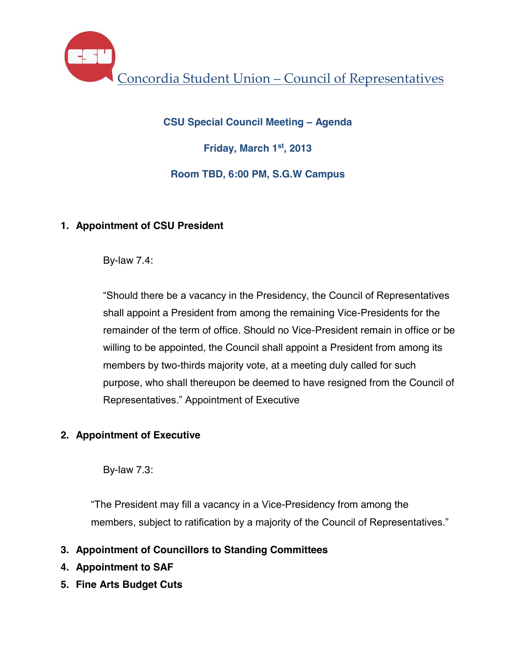Concordia Student Union – Council of Representatives

**CSU Special Council Meeting – Agenda Friday, March 1st, 2013 Room TBD, 6:00 PM, S.G.W Campus**

# **1. Appointment of CSU President**

By-law 7.4:

"Should there be a vacancy in the Presidency, the Council of Representatives shall appoint a President from among the remaining Vice-Presidents for the remainder of the term of office. Should no Vice-President remain in office or be willing to be appointed, the Council shall appoint a President from among its members by two-thirds majority vote, at a meeting duly called for such purpose, who shall thereupon be deemed to have resigned from the Council of Representatives." Appointment of Executive

# **2. Appointment of Executive**

By-law 7.3:

"The President may fill a vacancy in a Vice-Presidency from among the members, subject to ratification by a majority of the Council of Representatives."

- **3. Appointment of Councillors to Standing Committees**
- **4. Appointment to SAF**
- **5. Fine Arts Budget Cuts**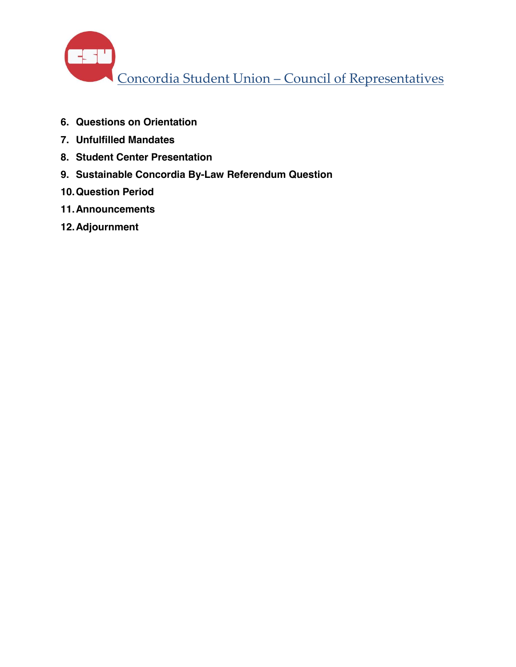

- **6. Questions on Orientation**
- **7. Unfulfilled Mandates**
- **8. Student Center Presentation**
- **9. Sustainable Concordia By-Law Referendum Question**
- **10.Question Period**
- **11.Announcements**
- **12.Adjournment**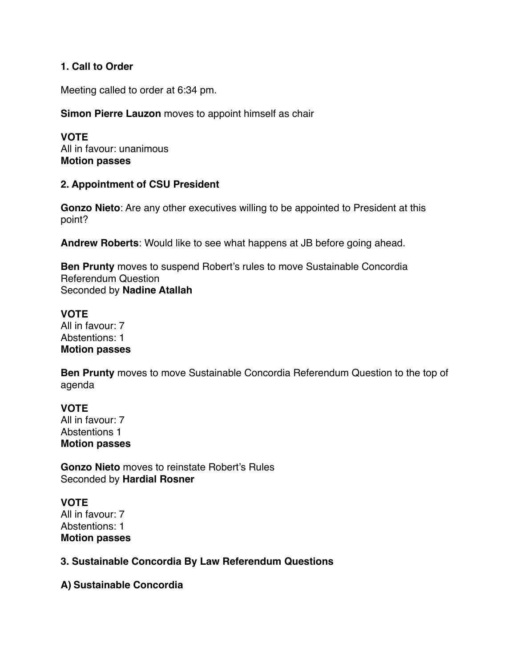## **1. Call to Order**

Meeting called to order at 6:34 pm.

## **Simon Pierre Lauzon** moves to appoint himself as chair

**VOTE** All in favour: unanimous **Motion passes** 

## **2. Appointment of CSU President**

**Gonzo Nieto**: Are any other executives willing to be appointed to President at this point?

**Andrew Roberts**: Would like to see what happens at JB before going ahead.

**Ben Prunty** moves to suspend Robert's rules to move Sustainable Concordia Referendum Question Seconded by **Nadine Atallah** 

## **VOTE**

All in favour: 7 Abstentions: 1 **Motion passes** 

**Ben Prunty** moves to move Sustainable Concordia Referendum Question to the top of agenda

**VOTE** All in favour: 7 Abstentions 1 **Motion passes** 

**Gonzo Nieto** moves to reinstate Robert's Rules Seconded by **Hardial Rosner**

# **VOTE**

All in favour: 7 Abstentions: 1 **Motion passes** 

## **3. Sustainable Concordia By Law Referendum Questions**

**A) Sustainable Concordia**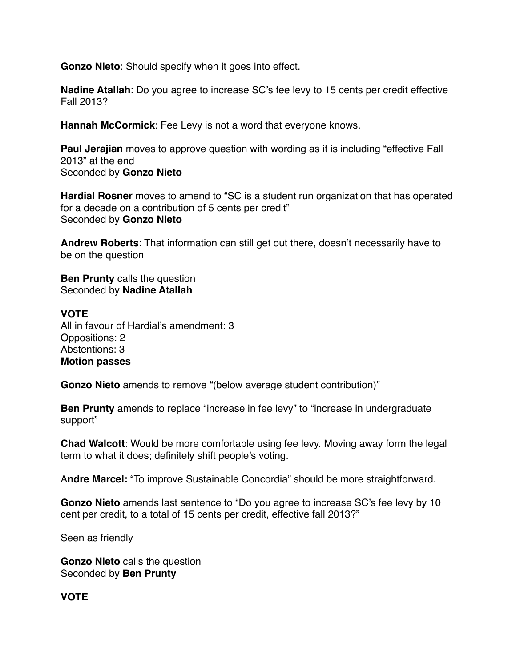**Gonzo Nieto**: Should specify when it goes into effect.

**Nadine Atallah**: Do you agree to increase SC's fee levy to 15 cents per credit effective Fall 2013?

**Hannah McCormick**: Fee Levy is not a word that everyone knows.

**Paul Jerajian** moves to approve question with wording as it is including "effective Fall 2013" at the end Seconded by **Gonzo Nieto**

**Hardial Rosner** moves to amend to "SC is a student run organization that has operated for a decade on a contribution of 5 cents per credit" Seconded by **Gonzo Nieto**

**Andrew Roberts**: That information can still get out there, doesn't necessarily have to be on the question

**Ben Prunty** calls the question Seconded by **Nadine Atallah** 

#### **VOTE**

All in favour of Hardial's amendment: 3 Oppositions: 2 Abstentions: 3 **Motion passes** 

**Gonzo Nieto** amends to remove "(below average student contribution)"

**Ben Prunty** amends to replace "increase in fee levy" to "increase in undergraduate support"

**Chad Walcott**: Would be more comfortable using fee levy. Moving away form the legal term to what it does; definitely shift people's voting.

A**ndre Marcel:** "To improve Sustainable Concordia" should be more straightforward.

**Gonzo Nieto** amends last sentence to "Do you agree to increase SC's fee levy by 10 cent per credit, to a total of 15 cents per credit, effective fall 2013?"

Seen as friendly

**Gonzo Nieto** calls the question Seconded by **Ben Prunty**

**VOTE**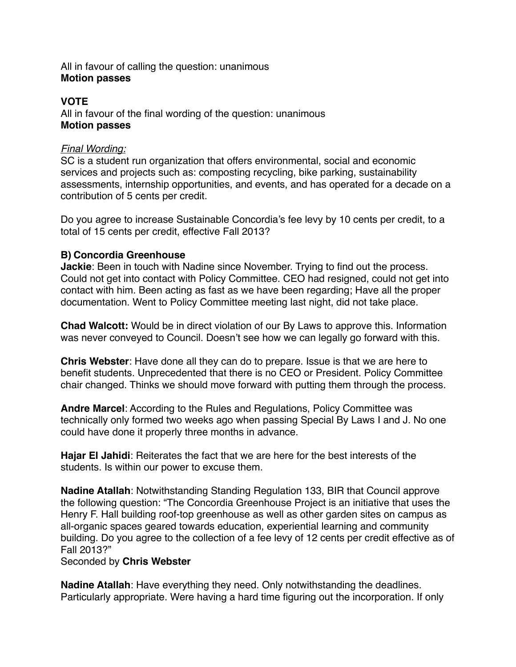## All in favour of calling the question: unanimous **Motion passes**

## **VOTE**

All in favour of the final wording of the question: unanimous **Motion passes** 

## *Final Wording:*

SC is a student run organization that offers environmental, social and economic services and projects such as: composting recycling, bike parking, sustainability assessments, internship opportunities, and events, and has operated for a decade on a contribution of 5 cents per credit.

Do you agree to increase Sustainable Concordia's fee levy by 10 cents per credit, to a total of 15 cents per credit, effective Fall 2013?

## **B) Concordia Greenhouse**

**Jackie**: Been in touch with Nadine since November. Trying to find out the process. Could not get into contact with Policy Committee. CEO had resigned, could not get into contact with him. Been acting as fast as we have been regarding; Have all the proper documentation. Went to Policy Committee meeting last night, did not take place.

**Chad Walcott:** Would be in direct violation of our By Laws to approve this. Information was never conveyed to Council. Doesn't see how we can legally go forward with this.

**Chris Webster**: Have done all they can do to prepare. Issue is that we are here to benefit students. Unprecedented that there is no CEO or President. Policy Committee chair changed. Thinks we should move forward with putting them through the process.

**Andre Marcel**: According to the Rules and Regulations, Policy Committee was technically only formed two weeks ago when passing Special By Laws I and J. No one could have done it properly three months in advance.

**Hajar El Jahidi**: Reiterates the fact that we are here for the best interests of the students. Is within our power to excuse them.

**Nadine Atallah**: Notwithstanding Standing Regulation 133, BIR that Council approve the following question: "The Concordia Greenhouse Project is an initiative that uses the Henry F. Hall building roof-top greenhouse as well as other garden sites on campus as all-organic spaces geared towards education, experiential learning and community building. Do you agree to the collection of a fee levy of 12 cents per credit effective as of Fall 2013?"

## Seconded by **Chris Webster**

**Nadine Atallah**: Have everything they need. Only notwithstanding the deadlines. Particularly appropriate. Were having a hard time figuring out the incorporation. If only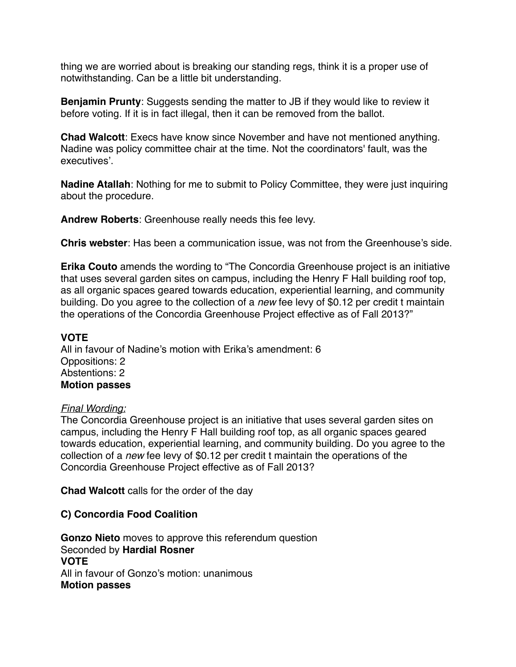thing we are worried about is breaking our standing regs, think it is a proper use of notwithstanding. Can be a little bit understanding.

**Benjamin Prunty**: Suggests sending the matter to JB if they would like to review it before voting. If it is in fact illegal, then it can be removed from the ballot.

**Chad Walcott**: Execs have know since November and have not mentioned anything. Nadine was policy committee chair at the time. Not the coordinators' fault, was the executives'.

**Nadine Atallah**: Nothing for me to submit to Policy Committee, they were just inquiring about the procedure.

**Andrew Roberts**: Greenhouse really needs this fee levy.

**Chris webster**: Has been a communication issue, was not from the Greenhouse's side.

**Erika Couto** amends the wording to "The Concordia Greenhouse project is an initiative that uses several garden sites on campus, including the Henry F Hall building roof top, as all organic spaces geared towards education, experiential learning, and community building. Do you agree to the collection of a *new* fee levy of \$0.12 per credit t maintain the operations of the Concordia Greenhouse Project effective as of Fall 2013?"

## **VOTE**

All in favour of Nadine's motion with Erika's amendment: 6 Oppositions: 2 Abstentions: 2 **Motion passes** 

## *Final Wording:*

The Concordia Greenhouse project is an initiative that uses several garden sites on campus, including the Henry F Hall building roof top, as all organic spaces geared towards education, experiential learning, and community building. Do you agree to the collection of a *new* fee levy of \$0.12 per credit t maintain the operations of the Concordia Greenhouse Project effective as of Fall 2013?

**Chad Walcott** calls for the order of the day

## **C) Concordia Food Coalition**

**Gonzo Nieto** moves to approve this referendum question Seconded by **Hardial Rosner VOTE** All in favour of Gonzo's motion: unanimous **Motion passes**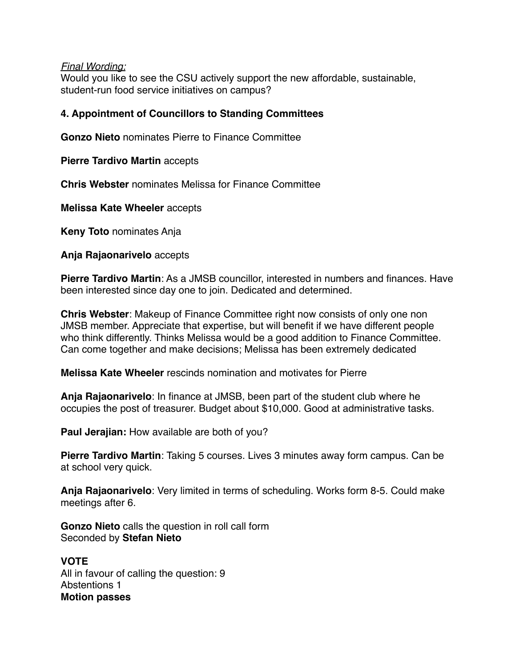#### *Final Wording:*

Would you like to see the CSU actively support the new affordable, sustainable, student-run food service initiatives on campus?

## **4. Appointment of Councillors to Standing Committees**

**Gonzo Nieto** nominates Pierre to Finance Committee

**Pierre Tardivo Martin** accepts

**Chris Webster** nominates Melissa for Finance Committee

**Melissa Kate Wheeler** accepts

**Keny Toto** nominates Anja

**Anja Rajaonarivelo** accepts

**Pierre Tardivo Martin**: As a JMSB councillor, interested in numbers and finances. Have been interested since day one to join. Dedicated and determined.

**Chris Webster**: Makeup of Finance Committee right now consists of only one non JMSB member. Appreciate that expertise, but will benefit if we have different people who think differently. Thinks Melissa would be a good addition to Finance Committee. Can come together and make decisions; Melissa has been extremely dedicated

**Melissa Kate Wheeler** rescinds nomination and motivates for Pierre

**Anja Rajaonarivelo**: In finance at JMSB, been part of the student club where he occupies the post of treasurer. Budget about \$10,000. Good at administrative tasks.

**Paul Jerajian:** How available are both of you?

**Pierre Tardivo Martin**: Taking 5 courses. Lives 3 minutes away form campus. Can be at school very quick.

**Anja Rajaonarivelo**: Very limited in terms of scheduling. Works form 8-5. Could make meetings after 6.

**Gonzo Nieto** calls the question in roll call form Seconded by **Stefan Nieto**

**VOTE** All in favour of calling the question: 9 Abstentions 1 **Motion passes**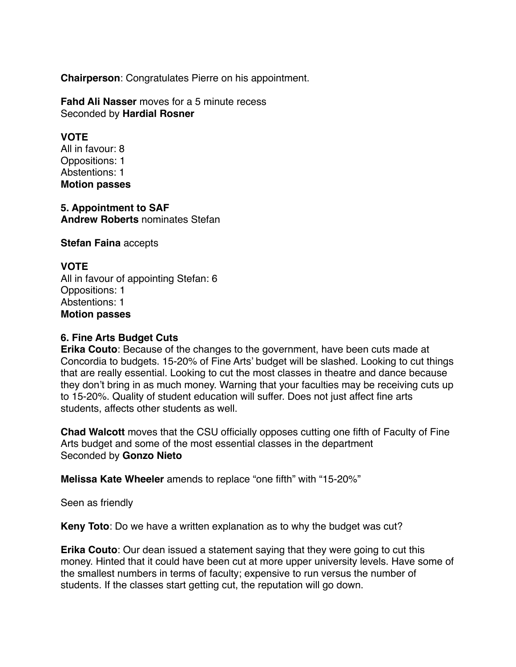**Chairperson**: Congratulates Pierre on his appointment.

**Fahd Ali Nasser** moves for a 5 minute recess Seconded by **Hardial Rosner**

#### **VOTE**

All in favour: 8 Oppositions: 1 Abstentions: 1 **Motion passes** 

#### **5. Appointment to SAF Andrew Roberts** nominates Stefan

**Stefan Faina** accepts

## **VOTE**

All in favour of appointing Stefan: 6 Oppositions: 1 Abstentions: 1 **Motion passes** 

## **6. Fine Arts Budget Cuts**

**Erika Couto**: Because of the changes to the government, have been cuts made at Concordia to budgets. 15-20% of Fine Arts' budget will be slashed. Looking to cut things that are really essential. Looking to cut the most classes in theatre and dance because they don't bring in as much money. Warning that your faculties may be receiving cuts up to 15-20%. Quality of student education will suffer. Does not just affect fine arts students, affects other students as well.

**Chad Walcott** moves that the CSU officially opposes cutting one fifth of Faculty of Fine Arts budget and some of the most essential classes in the department Seconded by **Gonzo Nieto**

**Melissa Kate Wheeler** amends to replace "one fifth" with "15-20%"

Seen as friendly

**Keny Toto**: Do we have a written explanation as to why the budget was cut?

**Erika Couto**: Our dean issued a statement saying that they were going to cut this money. Hinted that it could have been cut at more upper university levels. Have some of the smallest numbers in terms of faculty; expensive to run versus the number of students. If the classes start getting cut, the reputation will go down.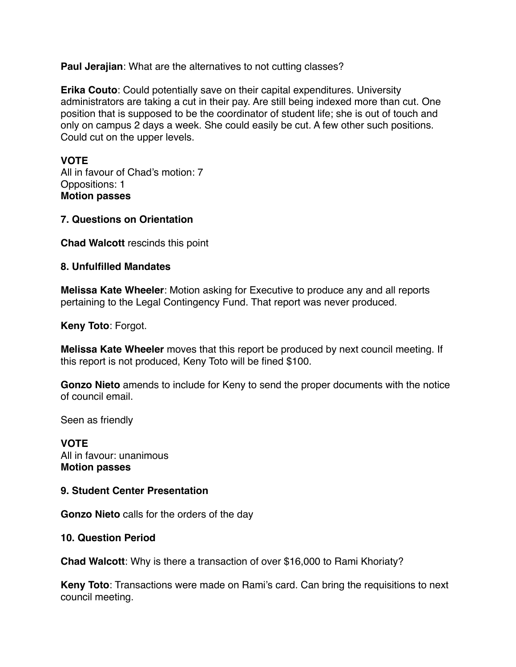**Paul Jerajian**: What are the alternatives to not cutting classes?

**Erika Couto**: Could potentially save on their capital expenditures. University administrators are taking a cut in their pay. Are still being indexed more than cut. One position that is supposed to be the coordinator of student life; she is out of touch and only on campus 2 days a week. She could easily be cut. A few other such positions. Could cut on the upper levels.

## **VOTE**

All in favour of Chad's motion: 7 Oppositions: 1 **Motion passes** 

## **7. Questions on Orientation**

**Chad Walcott** rescinds this point

## **8. Unfulfilled Mandates**

**Melissa Kate Wheeler**: Motion asking for Executive to produce any and all reports pertaining to the Legal Contingency Fund. That report was never produced.

**Keny Toto**: Forgot.

**Melissa Kate Wheeler** moves that this report be produced by next council meeting. If this report is not produced, Keny Toto will be fined \$100.

**Gonzo Nieto** amends to include for Keny to send the proper documents with the notice of council email.

Seen as friendly

**VOTE** All in favour: unanimous **Motion passes** 

## **9. Student Center Presentation**

**Gonzo Nieto** calls for the orders of the day

## **10. Question Period**

**Chad Walcott**: Why is there a transaction of over \$16,000 to Rami Khoriaty?

**Keny Toto**: Transactions were made on Rami's card. Can bring the requisitions to next council meeting.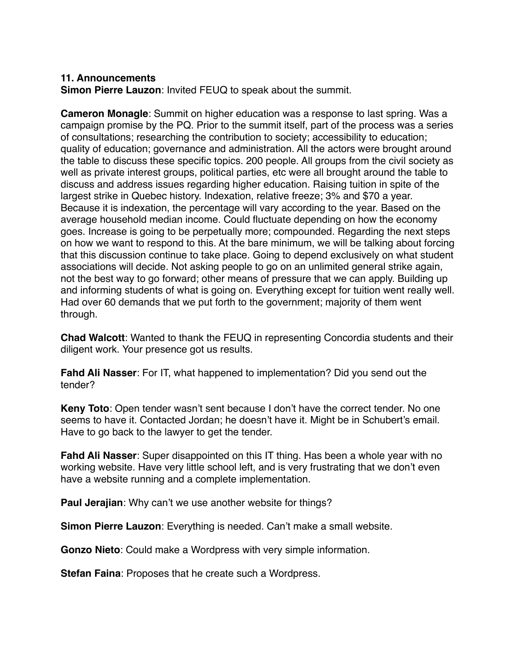#### **11. Announcements**

**Simon Pierre Lauzon**: Invited FEUQ to speak about the summit.

**Cameron Monagle**: Summit on higher education was a response to last spring. Was a campaign promise by the PQ. Prior to the summit itself, part of the process was a series of consultations; researching the contribution to society; accessibility to education; quality of education; governance and administration. All the actors were brought around the table to discuss these specific topics. 200 people. All groups from the civil society as well as private interest groups, political parties, etc were all brought around the table to discuss and address issues regarding higher education. Raising tuition in spite of the largest strike in Quebec history. Indexation, relative freeze; 3% and \$70 a year. Because it is indexation, the percentage will vary according to the year. Based on the average household median income. Could fluctuate depending on how the economy goes. Increase is going to be perpetually more; compounded. Regarding the next steps on how we want to respond to this. At the bare minimum, we will be talking about forcing that this discussion continue to take place. Going to depend exclusively on what student associations will decide. Not asking people to go on an unlimited general strike again, not the best way to go forward; other means of pressure that we can apply. Building up and informing students of what is going on. Everything except for tuition went really well. Had over 60 demands that we put forth to the government; majority of them went through.

**Chad Walcott**: Wanted to thank the FEUQ in representing Concordia students and their diligent work. Your presence got us results.

**Fahd Ali Nasser**: For IT, what happened to implementation? Did you send out the tender?

**Keny Toto**: Open tender wasn't sent because I don't have the correct tender. No one seems to have it. Contacted Jordan; he doesn't have it. Might be in Schubert's email. Have to go back to the lawyer to get the tender.

**Fahd Ali Nasser**: Super disappointed on this IT thing. Has been a whole year with no working website. Have very little school left, and is very frustrating that we don't even have a website running and a complete implementation.

**Paul Jerajian**: Why can't we use another website for things?

**Simon Pierre Lauzon**: Everything is needed. Can't make a small website.

**Gonzo Nieto**: Could make a Wordpress with very simple information.

**Stefan Faina: Proposes that he create such a Wordpress.**